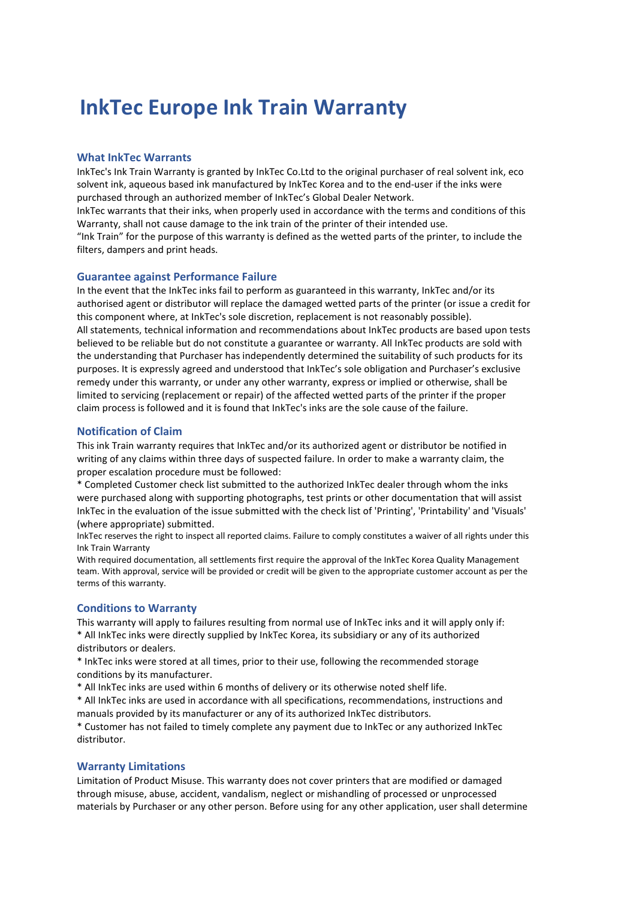# **InkTec Europe Ink Train Warranty**

### **What InkTec Warrants**

InkTec's Ink Train Warranty is granted by InkTec Co.Ltd to the original purchaser of real solvent ink, eco solvent ink, aqueous based ink manufactured by InkTec Korea and to the end-user if the inks were purchased through an authorized member of InkTec's Global Dealer Network.

InkTec warrants that their inks, when properly used in accordance with the terms and conditions of this Warranty, shall not cause damage to the ink train of the printer of their intended use.

"Ink Train" for the purpose of this warranty is defined as the wetted parts of the printer, to include the filters, dampers and print heads.

#### **Guarantee against Performance Failure**

In the event that the InkTec inks fail to perform as guaranteed in this warranty, InkTec and/or its authorised agent or distributor will replace the damaged wetted parts of the printer (or issue a credit for this component where, at InkTec's sole discretion, replacement is not reasonably possible). All statements, technical information and recommendations about InkTec products are based upon tests believed to be reliable but do not constitute a guarantee or warranty. All InkTec products are sold with the understanding that Purchaser has independently determined the suitability of such products for its purposes. It is expressly agreed and understood that InkTec's sole obligation and Purchaser's exclusive remedy under this warranty, or under any other warranty, express or implied or otherwise, shall be limited to servicing (replacement or repair) of the affected wetted parts of the printer if the proper claim process is followed and it is found that InkTec's inks are the sole cause of the failure.

## **Notification of Claim**

This ink Train warranty requires that InkTec and/or its authorized agent or distributor be notified in writing of any claims within three days of suspected failure. In order to make a warranty claim, the proper escalation procedure must be followed:

\* Completed Customer check list submitted to the authorized InkTec dealer through whom the inks were purchased along with supporting photographs, test prints or other documentation that will assist InkTec in the evaluation of the issue submitted with the check list of 'Printing', 'Printability' and 'Visuals' (where appropriate) submitted.

InkTec reserves the right to inspect all reported claims. Failure to comply constitutes a waiver of all rights under this Ink Train Warranty

With required documentation, all settlements first require the approval of the InkTec Korea Quality Management team. With approval, service will be provided or credit will be given to the appropriate customer account as per the terms of this warranty.

# **Conditions to Warranty**

This warranty will apply to failures resulting from normal use of InkTec inks and it will apply only if: \* All InkTec inks were directly supplied by InkTec Korea, its subsidiary or any of its authorized distributors or dealers.

\* InkTec inks were stored at all times, prior to their use, following the recommended storage conditions by its manufacturer.

\* All InkTec inks are used within 6 months of delivery or its otherwise noted shelf life.

\* All InkTec inks are used in accordance with all specifications, recommendations, instructions and manuals provided by its manufacturer or any of its authorized InkTec distributors.

\* Customer has not failed to timely complete any payment due to InkTec or any authorized InkTec distributor.

#### **Warranty Limitations**

Limitation of Product Misuse. This warranty does not cover printers that are modified or damaged through misuse, abuse, accident, vandalism, neglect or mishandling of processed or unprocessed materials by Purchaser or any other person. Before using for any other application, user shall determine